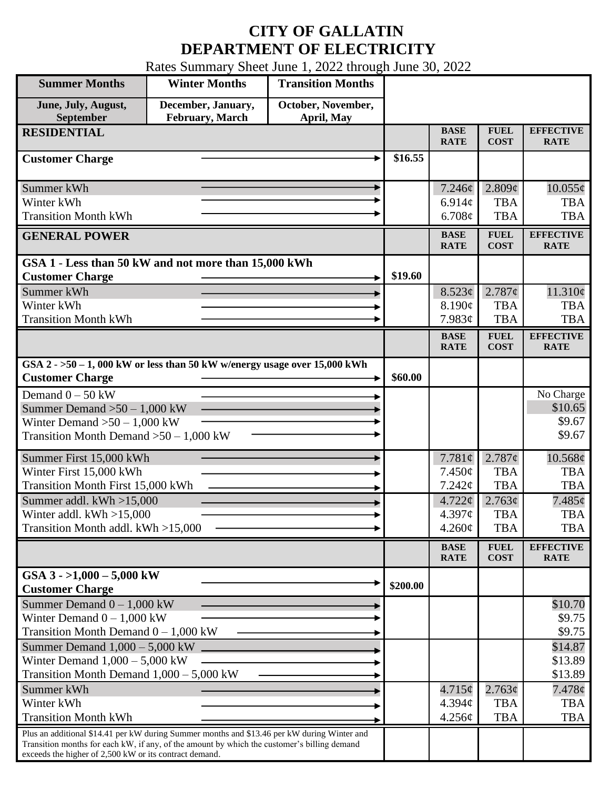## **CITY OF GALLATIN DEPARTMENT OF ELECTRICITY**

Rates Summary Sheet June 1, 2022 through June 30, 2022

| <b>Summer Months</b>                                                                                                                                                                                                                                 | <b>Winter Months</b>                  | <b>Transition Months</b>         |          |                            |                            |                                 |
|------------------------------------------------------------------------------------------------------------------------------------------------------------------------------------------------------------------------------------------------------|---------------------------------------|----------------------------------|----------|----------------------------|----------------------------|---------------------------------|
| June, July, August,<br>September                                                                                                                                                                                                                     | December, January,<br>February, March | October, November,<br>April, May |          |                            |                            |                                 |
| <b>RESIDENTIAL</b>                                                                                                                                                                                                                                   |                                       |                                  |          | <b>BASE</b><br><b>RATE</b> | <b>FUEL</b><br><b>COST</b> | <b>EFFECTIVE</b><br><b>RATE</b> |
| <b>Customer Charge</b>                                                                                                                                                                                                                               |                                       |                                  | \$16.55  |                            |                            |                                 |
| Summer kWh                                                                                                                                                                                                                                           |                                       |                                  |          | 7.246¢                     | 2.809¢                     | $10.055\phi$                    |
| Winter kWh                                                                                                                                                                                                                                           |                                       |                                  |          | 6.914c                     | <b>TBA</b>                 | <b>TBA</b>                      |
| <b>Transition Month kWh</b>                                                                                                                                                                                                                          |                                       |                                  |          | 6.708¢                     | <b>TBA</b>                 | <b>TBA</b>                      |
| <b>GENERAL POWER</b>                                                                                                                                                                                                                                 |                                       |                                  |          | <b>BASE</b><br><b>RATE</b> | <b>FUEL</b><br><b>COST</b> | <b>EFFECTIVE</b><br><b>RATE</b> |
| GSA 1 - Less than 50 kW and not more than 15,000 kWh                                                                                                                                                                                                 |                                       |                                  |          |                            |                            |                                 |
| <b>Customer Charge</b>                                                                                                                                                                                                                               |                                       |                                  | \$19.60  |                            |                            |                                 |
| Summer kWh<br>Winter kWh                                                                                                                                                                                                                             |                                       |                                  |          | 8.523¢<br>8.190¢           | 2.787¢<br><b>TBA</b>       | 11.310¢<br><b>TBA</b>           |
| <b>Transition Month kWh</b>                                                                                                                                                                                                                          |                                       |                                  |          | 7.983¢                     | <b>TBA</b>                 | <b>TBA</b>                      |
|                                                                                                                                                                                                                                                      |                                       |                                  |          | <b>BASE</b>                | <b>FUEL</b>                | <b>EFFECTIVE</b>                |
|                                                                                                                                                                                                                                                      |                                       |                                  |          | <b>RATE</b>                | <b>COST</b>                | <b>RATE</b>                     |
| GSA $2 - 50 - 1$ , 000 kW or less than 50 kW w/energy usage over 15,000 kWh<br><b>Customer Charge</b>                                                                                                                                                |                                       |                                  | \$60.00  |                            |                            |                                 |
| Demand $0 - 50$ kW                                                                                                                                                                                                                                   |                                       |                                  |          |                            |                            | No Charge                       |
| Summer Demand $>50 - 1,000$ kW                                                                                                                                                                                                                       |                                       |                                  |          |                            |                            | \$10.65                         |
| Winter Demand $>50-1,000$ kW                                                                                                                                                                                                                         |                                       |                                  |          |                            |                            | \$9.67                          |
| Transition Month Demand $>50-1,000$ kW                                                                                                                                                                                                               |                                       |                                  |          |                            |                            | \$9.67                          |
| Summer First 15,000 kWh                                                                                                                                                                                                                              |                                       |                                  |          | 7.781 $\phi$               | 2.787¢                     | 10.568¢                         |
| Winter First 15,000 kWh                                                                                                                                                                                                                              |                                       |                                  |          | 7.450¢                     | <b>TBA</b>                 | <b>TBA</b>                      |
| Transition Month First 15,000 kWh                                                                                                                                                                                                                    |                                       |                                  |          | 7.242¢                     | <b>TBA</b>                 | <b>TBA</b>                      |
| Summer addl. $kWh > 15,000$                                                                                                                                                                                                                          |                                       |                                  |          | $4.722 \phi$               | 2.763¢                     | $7.485\phi$                     |
| Winter addl. $kWh > 15,000$<br>Transition Month addl. kWh >15,000                                                                                                                                                                                    |                                       |                                  |          | 4.397¢<br>4.260¢           | <b>TBA</b><br><b>TBA</b>   | <b>TBA</b>                      |
|                                                                                                                                                                                                                                                      |                                       |                                  |          |                            |                            | <b>TBA</b>                      |
|                                                                                                                                                                                                                                                      |                                       |                                  |          | <b>BASE</b><br><b>RATE</b> | <b>FUEL</b><br><b>COST</b> | <b>EFFECTIVE</b><br><b>RATE</b> |
| GSA $3 - 1,000 - 5,000$ kW<br><b>Customer Charge</b>                                                                                                                                                                                                 |                                       |                                  | \$200.00 |                            |                            |                                 |
| Summer Demand $0 - 1,000$ kW                                                                                                                                                                                                                         |                                       |                                  |          |                            |                            | \$10.70                         |
| Winter Demand $0 - 1,000$ kW                                                                                                                                                                                                                         |                                       |                                  |          |                            |                            | \$9.75                          |
| Transition Month Demand $0 - 1,000$ kW                                                                                                                                                                                                               |                                       |                                  |          |                            |                            | \$9.75                          |
| Summer Demand $1,000 - 5,000$ kW                                                                                                                                                                                                                     |                                       |                                  |          |                            |                            | \$14.87                         |
| Winter Demand $1,000 - 5,000$ kW<br>Transition Month Demand $1,000 - 5,000$ kW                                                                                                                                                                       |                                       |                                  |          |                            |                            | \$13.89<br>\$13.89              |
| Summer kWh                                                                                                                                                                                                                                           |                                       |                                  |          | $4.715\phi$                | 2.763¢                     | 7.478¢                          |
| Winter kWh                                                                                                                                                                                                                                           |                                       |                                  |          | 4.394 <sub>c</sub>         | <b>TBA</b>                 | <b>TBA</b>                      |
| <b>Transition Month kWh</b>                                                                                                                                                                                                                          |                                       |                                  |          | 4.256¢                     | <b>TBA</b>                 | <b>TBA</b>                      |
| Plus an additional \$14.41 per kW during Summer months and \$13.46 per kW during Winter and<br>Transition months for each kW, if any, of the amount by which the customer's billing demand<br>exceeds the higher of 2,500 kW or its contract demand. |                                       |                                  |          |                            |                            |                                 |
|                                                                                                                                                                                                                                                      |                                       |                                  |          |                            |                            |                                 |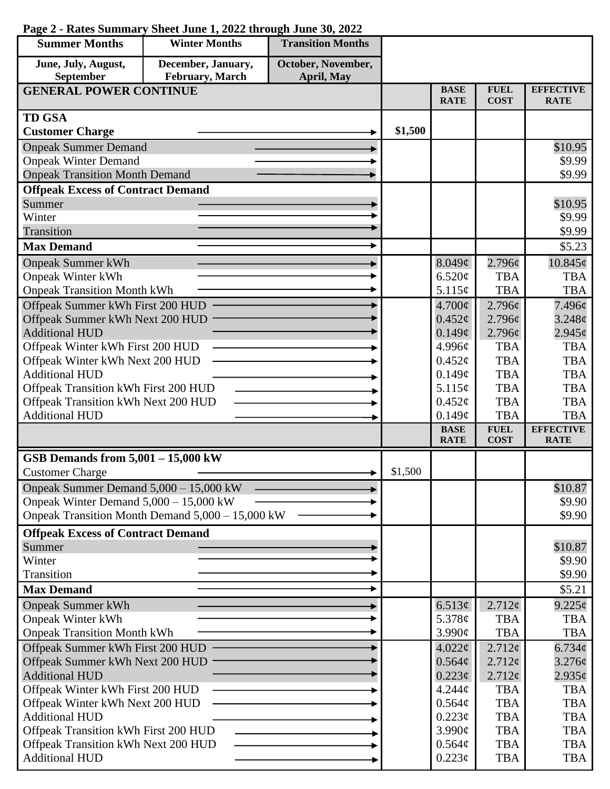| <b>Summer Months</b>                                                | <b>Winter Months</b>                             | <b>Transition Months</b> |         |                              |                            |                                 |
|---------------------------------------------------------------------|--------------------------------------------------|--------------------------|---------|------------------------------|----------------------------|---------------------------------|
| June, July, August,                                                 | December, January,                               | October, November,       |         |                              |                            |                                 |
| September                                                           | February, March                                  | April, May               |         |                              |                            |                                 |
| <b>GENERAL POWER CONTINUE</b>                                       |                                                  |                          |         | <b>BASE</b><br><b>RATE</b>   | <b>FUEL</b><br><b>COST</b> | <b>EFFECTIVE</b><br><b>RATE</b> |
| <b>TD GSA</b>                                                       |                                                  |                          |         |                              |                            |                                 |
| <b>Customer Charge</b>                                              |                                                  |                          | \$1,500 |                              |                            |                                 |
| <b>Onpeak Summer Demand</b>                                         |                                                  |                          |         |                              |                            | \$10.95                         |
| <b>Onpeak Winter Demand</b>                                         |                                                  |                          |         |                              |                            | \$9.99                          |
| <b>Onpeak Transition Month Demand</b>                               |                                                  |                          |         |                              |                            | \$9.99                          |
| <b>Offpeak Excess of Contract Demand</b>                            |                                                  |                          |         |                              |                            |                                 |
| Summer                                                              |                                                  |                          |         |                              |                            | \$10.95                         |
| Winter                                                              |                                                  |                          |         |                              |                            | \$9.99                          |
| Transition                                                          |                                                  |                          |         |                              |                            | \$9.99                          |
| <b>Max Demand</b>                                                   |                                                  |                          |         |                              |                            | \$5.23                          |
| <b>Onpeak Summer kWh</b>                                            |                                                  |                          |         | 8.049¢                       | 2.796¢                     | $10.845\phi$                    |
| <b>Onpeak Winter kWh</b>                                            |                                                  |                          |         | 6.520¢                       | <b>TBA</b>                 | <b>TBA</b>                      |
| <b>Onpeak Transition Month kWh</b>                                  |                                                  |                          |         | 5.115c                       | <b>TBA</b>                 | <b>TBA</b>                      |
| Offpeak Summer kWh First 200 HUD                                    |                                                  |                          |         | $4.700\phi$                  | 2.796¢                     | 7.496¢                          |
| Offpeak Summer kWh Next 200 HUD                                     |                                                  |                          |         | $0.452\phi$                  | 2.796¢                     | 3.248 <sub>¢</sub>              |
| <b>Additional HUD</b>                                               |                                                  |                          |         | 0.149¢                       | 2.796¢<br><b>TBA</b>       | $2.945\phi$<br><b>TBA</b>       |
| Offpeak Winter kWh First 200 HUD<br>Offpeak Winter kWh Next 200 HUD |                                                  |                          |         | 4.996¢<br>$0.452\mathcal{C}$ | <b>TBA</b>                 | <b>TBA</b>                      |
| <b>Additional HUD</b>                                               |                                                  |                          |         | 0.149¢                       | <b>TBA</b>                 | <b>TBA</b>                      |
| Offpeak Transition kWh First 200 HUD                                |                                                  |                          |         | 5.115¢                       | <b>TBA</b>                 | <b>TBA</b>                      |
| Offpeak Transition kWh Next 200 HUD                                 |                                                  |                          |         | $0.452\phi$                  | <b>TBA</b>                 | <b>TBA</b>                      |
| <b>Additional HUD</b>                                               |                                                  |                          |         | 0.149¢                       | <b>TBA</b>                 | <b>TBA</b>                      |
|                                                                     |                                                  |                          |         | <b>BASE</b>                  | <b>FUEL</b>                | <b>EFFECTIVE</b>                |
|                                                                     |                                                  |                          |         | <b>RATE</b>                  | <b>COST</b>                | <b>RATE</b>                     |
| GSB Demands from $5,001 - 15,000$ kW                                |                                                  |                          |         |                              |                            |                                 |
| <b>Customer Charge</b>                                              |                                                  |                          | \$1,500 |                              |                            |                                 |
| Onpeak Summer Demand 5,000 - 15,000 kW                              |                                                  |                          |         |                              |                            | \$10.87                         |
| Onpeak Winter Demand $5,000 - 15,000$ kW                            |                                                  |                          |         |                              |                            | \$9.90                          |
|                                                                     | Onpeak Transition Month Demand 5,000 – 15,000 kW |                          |         |                              |                            | \$9.90                          |
| <b>Offpeak Excess of Contract Demand</b>                            |                                                  |                          |         |                              |                            |                                 |
| Summer                                                              |                                                  |                          |         |                              |                            | \$10.87                         |
| Winter                                                              |                                                  |                          |         |                              |                            | \$9.90                          |
| Transition<br><b>Max Demand</b>                                     |                                                  |                          |         |                              |                            | \$9.90                          |
|                                                                     |                                                  |                          |         |                              |                            | \$5.21                          |
| <b>Onpeak Summer kWh</b>                                            |                                                  |                          |         | 6.513¢                       | $2.712\epsilon$            | $9.225\phi$                     |
| <b>Onpeak Winter kWh</b><br><b>Onpeak Transition Month kWh</b>      |                                                  |                          |         | 5.378¢<br>3.990¢             | <b>TBA</b><br><b>TBA</b>   | <b>TBA</b><br><b>TBA</b>        |
| Offpeak Summer kWh First 200 HUD                                    |                                                  |                          |         | $4.022\phi$                  | 2.712¢                     | $6.734\phi$                     |
| Offpeak Summer kWh Next 200 HUD                                     |                                                  |                          |         | $0.564\phi$                  | 2.712¢                     | 3.276¢                          |
| <b>Additional HUD</b>                                               |                                                  |                          |         | 0.223¢                       | 2.712¢                     | $2.935\phi$                     |
| Offpeak Winter kWh First 200 HUD                                    |                                                  |                          |         | 4.244 <sub>c</sub>           | <b>TBA</b>                 | <b>TBA</b>                      |
| Offpeak Winter kWh Next 200 HUD                                     |                                                  |                          |         | 0.564¢                       | <b>TBA</b>                 | <b>TBA</b>                      |
| <b>Additional HUD</b>                                               |                                                  |                          |         | 0.223¢                       | <b>TBA</b>                 | <b>TBA</b>                      |
| Offpeak Transition kWh First 200 HUD                                |                                                  |                          |         | $3.990\text{¢}$              | <b>TBA</b>                 | <b>TBA</b>                      |
| Offpeak Transition kWh Next 200 HUD                                 |                                                  |                          |         | 0.564¢                       | <b>TBA</b>                 | <b>TBA</b>                      |
| <b>Additional HUD</b>                                               |                                                  |                          |         | $0.223\phi$                  | <b>TBA</b>                 | <b>TBA</b>                      |

## **Page 2 - Rates Summary Sheet June 1, 2022 through June 30, 2022**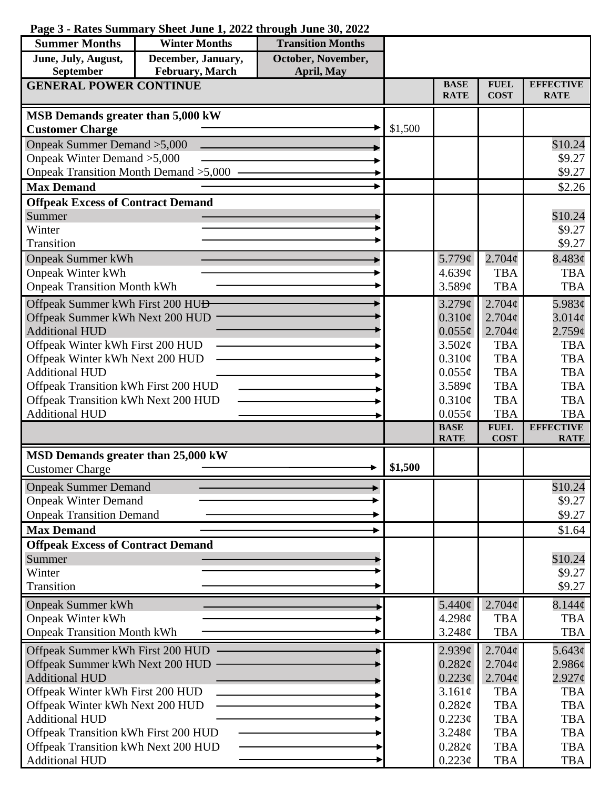| <b>Summer Months</b>                                     | <b>Winter Months</b>             | <b>Transition Months</b> |         |                            |                              |                                 |
|----------------------------------------------------------|----------------------------------|--------------------------|---------|----------------------------|------------------------------|---------------------------------|
| June, July, August,                                      | December, January,               | October, November,       |         |                            |                              |                                 |
| September                                                | February, March                  | <b>April, May</b>        |         |                            |                              |                                 |
| <b>GENERAL POWER CONTINUE</b>                            |                                  |                          |         | <b>BASE</b><br><b>RATE</b> | <b>FUEL</b><br><b>COST</b>   | <b>EFFECTIVE</b><br><b>RATE</b> |
|                                                          |                                  |                          |         |                            |                              |                                 |
| MSB Demands greater than 5,000 kW                        |                                  |                          |         |                            |                              |                                 |
| <b>Customer Charge</b>                                   |                                  |                          | \$1,500 |                            |                              |                                 |
| Onpeak Summer Demand > 5,000                             |                                  |                          |         |                            |                              | \$10.24                         |
| Onpeak Winter Demand > 5,000                             |                                  |                          |         |                            |                              | \$9.27                          |
| <b>Onpeak Transition Month Demand &gt;5,000</b>          |                                  |                          |         |                            |                              | \$9.27                          |
| <b>Max Demand</b>                                        |                                  |                          |         |                            |                              | \$2.26                          |
| <b>Offpeak Excess of Contract Demand</b>                 |                                  |                          |         |                            |                              |                                 |
| Summer                                                   |                                  |                          |         |                            |                              | \$10.24                         |
| Winter                                                   |                                  |                          |         |                            |                              | \$9.27                          |
| Transition                                               |                                  |                          |         |                            |                              | \$9.27                          |
| <b>Onpeak Summer kWh</b>                                 |                                  |                          |         | 5.779 $\phi$               | $2.704\varphi$               | 8.483¢                          |
| <b>Onpeak Winter kWh</b>                                 |                                  |                          |         | 4.639¢                     | <b>TBA</b>                   | <b>TBA</b>                      |
| <b>Onpeak Transition Month kWh</b>                       |                                  |                          |         | 3.589c                     | <b>TBA</b>                   | <b>TBA</b>                      |
| Offpeak Summer kWh First 200 HU <del>D</del>             |                                  |                          |         | 3.279¢                     | $2.704\mathcal{C}$           | 5.983¢                          |
| Offpeak Summer kWh Next 200 HUD                          |                                  |                          |         | $0.310\phi$                | 2.704 <sub>c</sub>           | $3.014\mathcal{C}$              |
| <b>Additional HUD</b>                                    |                                  |                          |         | $0.055\phi$                | $2.704\phi$                  | 2.759¢                          |
| Offpeak Winter kWh First 200 HUD                         |                                  |                          |         | 3.502¢                     | <b>TBA</b>                   | <b>TBA</b>                      |
| Offpeak Winter kWh Next 200 HUD                          |                                  |                          |         | 0.310¢                     | <b>TBA</b>                   | <b>TBA</b>                      |
| <b>Additional HUD</b>                                    |                                  |                          |         | $0.055\phi$                | <b>TBA</b>                   | <b>TBA</b>                      |
| Offpeak Transition kWh First 200 HUD                     |                                  |                          |         | 3.589¢                     | <b>TBA</b>                   | <b>TBA</b>                      |
| Offpeak Transition kWh Next 200 HUD                      |                                  |                          |         | 0.310¢                     | <b>TBA</b>                   | <b>TBA</b>                      |
| <b>Additional HUD</b>                                    |                                  |                          |         | $0.055\phi$                | <b>TBA</b>                   | <b>TBA</b>                      |
|                                                          |                                  |                          |         | <b>BASE</b>                | <b>FUEL</b>                  | <b>EFFECTIVE</b>                |
|                                                          |                                  |                          |         | <b>RATE</b>                | <b>COST</b>                  | <b>RATE</b>                     |
| MSD Demands greater than 25,000 kW                       |                                  |                          | \$1,500 |                            |                              |                                 |
| <b>Customer Charge</b>                                   |                                  |                          |         |                            |                              |                                 |
| <b>Onpeak Summer Demand</b>                              |                                  |                          |         |                            |                              | \$10.24                         |
| <b>Onpeak Winter Demand</b>                              |                                  |                          |         |                            |                              | \$9.27                          |
| <b>Onpeak Transition Demand</b>                          |                                  |                          |         |                            |                              | \$9.27                          |
| <b>Max Demand</b>                                        |                                  |                          |         |                            |                              | \$1.64                          |
| <b>Offpeak Excess of Contract Demand</b>                 |                                  |                          |         |                            |                              |                                 |
| Summer                                                   |                                  |                          |         |                            |                              | \$10.24                         |
| Winter                                                   |                                  |                          |         |                            |                              | \$9.27                          |
| <b>Transition</b>                                        |                                  |                          |         |                            |                              | \$9.27                          |
| <b>Onpeak Summer kWh</b>                                 |                                  |                          |         | 5.440 $\phi$               | 2.704¢                       | $8.144\phi$                     |
| <b>Onpeak Winter kWh</b>                                 |                                  |                          |         | 4.298¢                     | <b>TBA</b>                   | <b>TBA</b>                      |
| <b>Onpeak Transition Month kWh</b>                       |                                  |                          |         |                            | <b>TBA</b>                   | <b>TBA</b>                      |
|                                                          |                                  |                          |         | 3.248¢                     |                              |                                 |
|                                                          |                                  |                          |         |                            |                              |                                 |
|                                                          | Offpeak Summer kWh First 200 HUD |                          |         | 2.939¢                     | 2.704¢<br>$2.704\mathcal{C}$ | 5.643¢                          |
| Offpeak Summer kWh Next 200 HUD<br><b>Additional HUD</b> |                                  |                          |         | 0.282¢<br>$0.223\epsilon$  | $2.704\phi$                  | $2.986\phi$<br>$2.927\phi$      |
| Offpeak Winter kWh First 200 HUD                         |                                  |                          |         | 3.161¢                     | <b>TBA</b>                   | <b>TBA</b>                      |
| Offpeak Winter kWh Next 200 HUD                          |                                  |                          |         | 0.282¢                     | <b>TBA</b>                   | <b>TBA</b>                      |
| <b>Additional HUD</b>                                    |                                  |                          |         | $0.223\phi$                | <b>TBA</b>                   | <b>TBA</b>                      |
| Offpeak Transition kWh First 200 HUD                     |                                  |                          |         | 3.248¢                     | <b>TBA</b>                   | <b>TBA</b>                      |
| Offpeak Transition kWh Next 200 HUD                      |                                  |                          |         | 0.282¢                     | <b>TBA</b>                   | <b>TBA</b>                      |

## **Page 3 - Rates Summary Sheet June 1, 2022 through June 30, 2022**